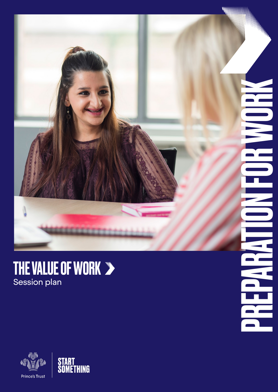

 $\overline{\mathbf{a}}$ 

P

### THE VALUE OF WORK Session plan



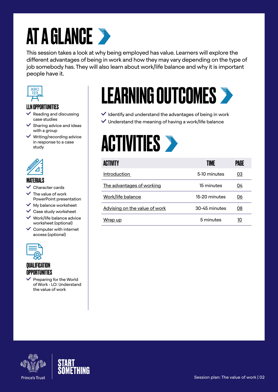## **AT A GLANCE >**

This session takes a look at why being employed has value. Learners will explore the different advantages of being in work and how they may vary depending on the type of job somebody has. They will also learn about work/life balance and why it is important people have it.



### LLN OPPORTUNITIES

- Reading and discussing case studies
- Sharing advice and ideas with a group
- $\vee$  Writing/recording advice in response to a case study



#### MATERIALS

- $\vee$  Character cards
- The value of work PowerPoint presentation
- $\vee$  My balance worksheet
- $\checkmark$  Case study worksheet
- $\vee$  Work/life balance advice worksheet (optional)
- $\vee$  Computer with internet access (optional)



### **OIIAI IFICATION** OPPORTUNITIES

 $\vee$  Preparing for the World of Work - LO: Understand the value of work

### LEARNING OUTCOMES

- $\checkmark$  Identify and understand the advantages of being in work
- $\checkmark$  Understand the meaning of having a work/life balance

### **ACTIVITIES**

| <b>ACTIVITY</b>               | TIME          | Palil |
|-------------------------------|---------------|-------|
| Introduction                  | 5-10 minutes  | 03    |
| The advantages of working     | 15 minutes    | 04    |
| Work/life balance             | 15-20 minutes | 06    |
| Advising on the value of work | 30-45 minutes | 08    |
| <u>Wrap up</u>                | 5 minutes     | 10    |



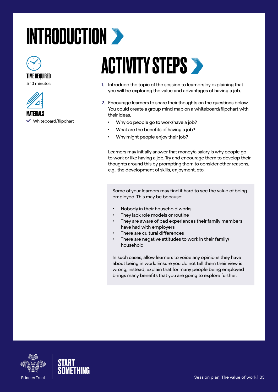# <span id="page-2-0"></span>INTRODUCTION >



### TIME REQUIRED

5-10 minutes



**MATERIALS** 

 $\vee$  Whiteboard/flipchart

**ACTIVITY STEPS >** 

- 1. Introduce the topic of the session to learners by explaining that you will be exploring the value and advantages of having a job.
- 2. Encourage learners to share their thoughts on the questions below. You could create a group mind map on a whiteboard/flipchart with their ideas.
	- Why do people go to work/have a job?
	- What are the benefits of having a job?
	- Why might people enjoy their job?

Learners may initially answer that money/a salary is why people go to work or like having a job. Try and encourage them to develop their thoughts around this by prompting them to consider other reasons, e.g., the development of skills, enjoyment, etc.

Some of your learners may find it hard to see the value of being employed. This may be because:

- Nobody in their household works
- They lack role models or routine
- They are aware of bad experiences their family members have had with employers
- There are cultural differences
- There are negative attitudes to work in their family/ household

In such cases, allow learners to voice any opinions they have about being in work. Ensure you do not tell them their view is wrong, instead, explain that for many people being employed brings many benefits that you are going to explore further.



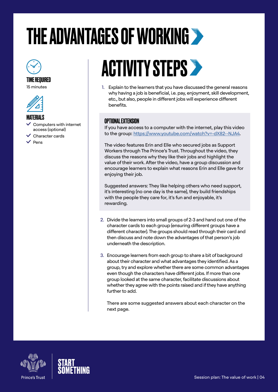# <span id="page-3-0"></span>THE ADVANTAGES OF WORKING



TIME REQUIRED





#### **MATFRIALS**

- Computers with internet access (optional)
- Character cards
- $\vee$  Pens

### **ACTIVITY STEPS >**

1. Explain to the learners that you have discussed the general reasons why having a job is beneficial, i.e. pay, enjoyment, skill development, etc., but also, people in different jobs will experience different benefits.

### OPTIONAL EXTENSION

If you have access to a computer with the internet, play this video to the group:<https://www.youtube.com/watch?v=-dX82--NJA4>.

The video features Erin and Elle who secured jobs as Support Workers through The Prince's Trust. Throughout the video, they discuss the reasons why they like their jobs and highlight the value of their work. After the video, have a group discussion and encourage learners to explain what reasons Erin and Elle gave for enjoying their job.

Suggested answers: They like helping others who need support, it's interesting (no one day is the same), they build friendships with the people they care for, it's fun and enjoyable, it's rewarding.

- 2. Divide the learners into small groups of 2-3 and hand out one of the character cards to each group (ensuring different groups have a different character). The groups should read through their card and then discuss and note down the advantages of that person's job underneath the description.
- 3. Encourage learners from each group to share a bit of background about their character and what advantages they identified. As a group, try and explore whether there are some common advantages even though the characters have different jobs. If more than one group looked at the same character, facilitate discussions about whether they agree with the points raised and if they have anything further to add.

There are some suggested answers about each character on the next page.



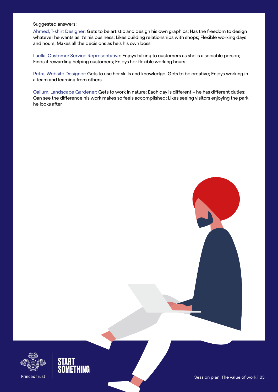#### Suggested answers:

Ahmed, T-shirt Designer: Gets to be artistic and design his own graphics; Has the freedom to design whatever he wants as it's his business; Likes building relationships with shops; Flexible working days and hours; Makes all the decisions as he's his own boss

Luella, Customer Service Representative: Enjoys talking to customers as she is a sociable person; Finds it rewarding helping customers; Enjoys her flexible working hours

Petra, Website Designer: Gets to use her skills and knowledge; Gets to be creative; Enjoys working in a team and learning from others

Callum, Landscape Gardener: Gets to work in nature; Each day is different – he has different duties; Can see the difference his work makes so feels accomplished; Likes seeing visitors enjoying the park he looks after



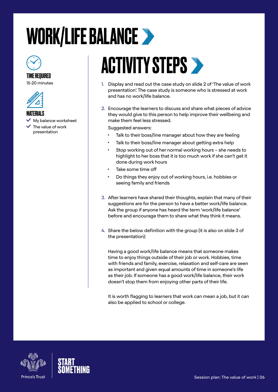## <span id="page-5-0"></span>WORK/LIFE BALANCE



### TIME REQUIRED

15-20 minutes



MATERIALS

My balance worksheet

 The value of work presentation

### **ACTIVITY STEPS >**

- 1. Display and read out the case study on slide 2 of 'The value of work presentation'. The case study is someone who is stressed at work and has no work/life balance.
- 2. Encourage the learners to discuss and share what pieces of advice they would give to this person to help improve their wellbeing and make them feel less stressed.

Suggested answers:

- Talk to their boss/line manager about how they are feeling
- Talk to their boss/line manager about getting extra help
- Stop working out of her normal working hours she needs to highlight to her boss that it is too much work if she can't get it done during work hours
- Take some time off
- Do things they enjoy out of working hours, i.e. hobbies or seeing family and friends
- 3. After learners have shared their thoughts, explain that many of their suggestions are for the person to have a better work/life balance. Ask the group if anyone has heard the term 'work/life balance' before and encourage them to share what they think it means.
- 4. Share the below definition with the group (it is also on slide 3 of the presentation):

Having a good work/life balance means that someone makes time to enjoy things outside of their job or work. Hobbies, time with friends and family, exercise, relaxation and self-care are seen as important and given equal amounts of time in someone's life as their job. If someone has a good work/life balance, their work doesn't stop them from enjoying other parts of their life.

It is worth flagging to learners that work can mean a job, but it can also be applied to school or college.



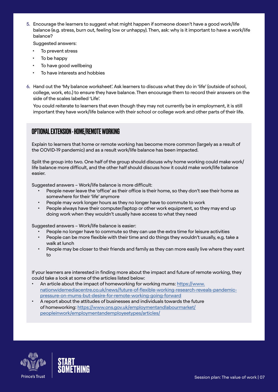5. Encourage the learners to suggest what might happen if someone doesn't have a good work/life balance (e.g. stress, burn out, feeling low or unhappy). Then, ask: why is it important to have a work/life balance?

Suggested answers:

- To prevent stress
- To be happy
- To have good wellbeing
- To have interests and hobbies
- 6. Hand out the 'My balance worksheet'. Ask learners to discuss what they do in 'life' (outside of school, college, work, etc.) to ensure they have balance. Then encourage them to record their answers on the side of the scales labelled 'Life'.

You could reiterate to learners that even though they may not currently be in employment, it is still important they have work/life balance with their school or college work and other parts of their life.

### OPTIONAL EXTENSION - HOME/REMOTE WORKING

Explain to learners that home or remote working has become more common (largely as a result of the COVID-19 pandemic) and as a result work/life balance has been impacted.

Split the group into two. One half of the group should discuss why home working could make work/ life balance more difficult, and the other half should discuss how it could make work/life balance easier.

Suggested answers – Work/life balance is more difficult:

- People never leave the 'office' as their office is their home, so they don't see their home as somewhere for their 'life' anymore
- People may work longer hours as they no longer have to commute to work
- People always have their computer/laptop or other work equipment, so they may end up doing work when they wouldn't usually have access to what they need

Suggested answers – Work/life balance is easier:

- People no longer have to commute so they can use the extra time for leisure activities
- People can be more flexible with their time and do things they wouldn't usually, e.g. take a walk at lunch
- People may be closer to their friends and family as they can more easily live where they want to

If your learners are interested in finding more about the impact and future of remote working, they could take a look at some of the articles listed below:

- An article about the impact of homeworking for working mums: [https://www.](https://www.nationwidemediacentre.co.uk/news/future-of-flexible-working-research-reveals-pandemic-pressure-on-mums-but-desire-for-remote-working-going-forward) [nationwidemediacentre.co.uk/news/future-of-flexible-working-research-reveals-pandemic](https://www.nationwidemediacentre.co.uk/news/future-of-flexible-working-research-reveals-pandemic-pressure-on-mums-but-desire-for-remote-working-going-forward)[pressure-on-mums-but-desire-for-remote-working-going-forward](https://www.nationwidemediacentre.co.uk/news/future-of-flexible-working-research-reveals-pandemic-pressure-on-mums-but-desire-for-remote-working-going-forward)
- A report about the attitudes of businesses and individuals towards the future of homeworking: [https://www.ons.gov.uk/employmentandlabourmarket/](https://www.ons.gov.uk/employmentandlabourmarket/peopleinwork/employmentandemployeetypes/articles/) [peopleinwork/employmentandemployeetypes/articles/](https://www.ons.gov.uk/employmentandlabourmarket/peopleinwork/employmentandemployeetypes/articles/)



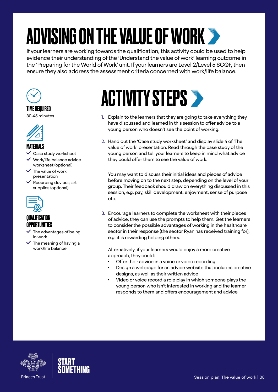# <span id="page-7-0"></span>ADVISING ON THE VALUE OF WORK

If your learners are working towards the qualification, this activity could be used to help evidence their understanding of the 'Understand the value of work' learning outcome in the 'Preparing for the World of Work' unit. If your learners are Level 2/Level 5 SCQF, then ensure they also address the assessment criteria concerned with work/life balance.



### TIME REQUIRED

30-45 minutes



#### **MATFRIALS**

- Case study worksheet
- Work/life balance advice worksheet (optional)
- $\checkmark$  The value of work presentation
- $\vee$  Recording devices, art supplies (optional)



### QUALIFICATION OPPORTUNITIES

- The advantages of being in work
- $\checkmark$  The meaning of having a work/life balance

### **ACTIVITY STEPS >**

- 1. Explain to the learners that they are going to take everything they have discussed and learned in this session to offer advice to a young person who doesn't see the point of working.
- 2. Hand out the 'Case study worksheet' and display slide 4 of 'The value of work' presentation. Read through the case study of the young person and tell your learners to keep in mind what advice they could offer them to see the value of work.

You may want to discuss their initial ideas and pieces of advice before moving on to the next step, depending on the level of your group. Their feedback should draw on everything discussed in this session, e.g. pay, skill development, enjoyment, sense of purpose etc.

3. Encourage learners to complete the worksheet with their pieces of advice, they can use the prompts to help them. Get the learners to consider the possible advantages of working in the healthcare sector in their response (the sector Ryan has received training for), e.g. it is rewarding helping others.

Alternatively, if your learners would enjoy a more creative approach, they could:

- Offer their advice in a voice or video recording
- Design a webpage for an advice website that includes creative designs, as well as their written advice
- Video or voice record a role play in which someone plays the young person who isn't interested in working and the learner responds to them and offers encouragement and advice



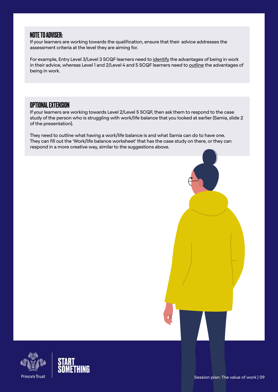### NOTE TO ADVISER:

If your learners are working towards the qualification, ensure that their advice addresses the assessment criteria at the level they are aiming for.

For example, Entry Level 3/Level 3 SCQF learners need to identify the advantages of being in work in their advice, whereas Level 1 and 2/Level 4 and 5 SCQF learners need to outline the advantages of being in work.

### OPTIONAL EXTENSION

If your learners are working towards Level 2/Level 5 SCQF, then ask them to respond to the case study of the person who is struggling with work/life balance that you looked at earlier (Samia, slide 2 of the presentation).

They need to outline what having a work/life balance is and what Samia can do to have one. They can fill out the 'Work/life balance worksheet' that has the case study on there, or they can respond in a more creative way, similar to the suggestions above.